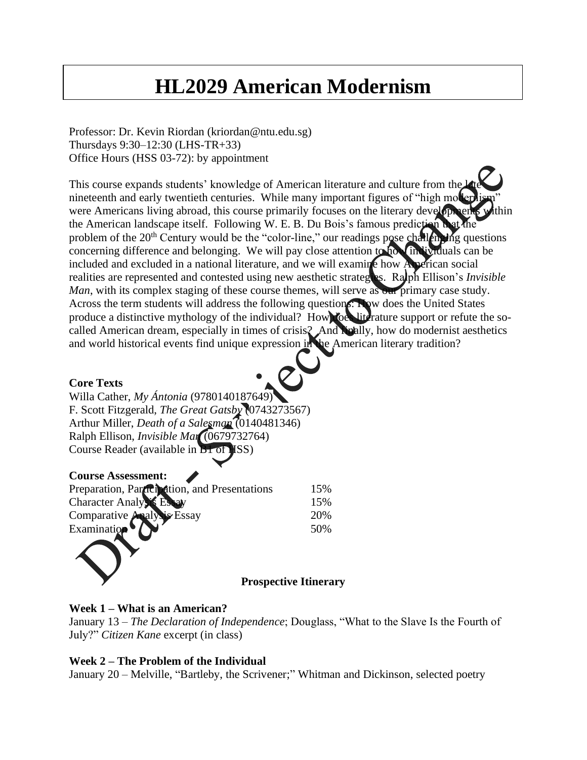# **HL2029 American Modernism**

Professor: Dr. Kevin Riordan (kriordan@ntu.edu.sg) Thursdays 9:30–12:30 (LHS-TR+33) Office Hours (HSS 03-72): by appointment

This course expands students' knowledge of American literature and culture from the nineteenth and early twentieth centuries. While many important figures of "high mode were Americans living abroad, this course primarily focuses on the literary developments within the American landscape itself. Following W. E. B. Du Bois's famous prediction that the problem of the 20<sup>th</sup> Century would be the "color-line," our readings pose challenging questions concerning difference and belonging. We will pay close attention to how individuals can be included and excluded in a national literature, and we will examine how American social realities are represented and contested using new aesthetic strategies. Ralph Ellison's *Invisible Man*, with its complex staging of these course themes, will serve as our primary case study. Across the term students will address the following questions: How does the United States produce a distinctive mythology of the individual? How coefficially detailed a socalled American dream, especially in times of crisis? And finally, how do modernist aesthetics and world historical events find unique expression in the American literary tradition?

#### **Core Texts**

Willa Cather, *My Ántonia* (9780140187649) F. Scott Fitzgerald, *The Great Gatsby* (0743273567) Arthur Miller, *Death of a Salesman* (0140481346) Ralph Ellison, *Invisible Man* (0679732764) Course Reader (available in B1 of HSS)

#### **Course Assessment:**

| Preparation, Participation, and Presentations | 15% |
|-----------------------------------------------|-----|
| <b>Character Analyst Essay</b>                | 15% |
| Comparative Analysis Essay                    | 20% |
| Examination $\bigcap$                         | 50% |
|                                               |     |

#### **Prospective Itinerary**

#### **Week 1 – What is an American?**

January 13 – *The Declaration of Independence*; Douglass, "What to the Slave Is the Fourth of July?" *Citizen Kane* excerpt (in class)

#### **Week 2 – The Problem of the Individual**

January 20 – Melville, "Bartleby, the Scrivener;" Whitman and Dickinson, selected poetry